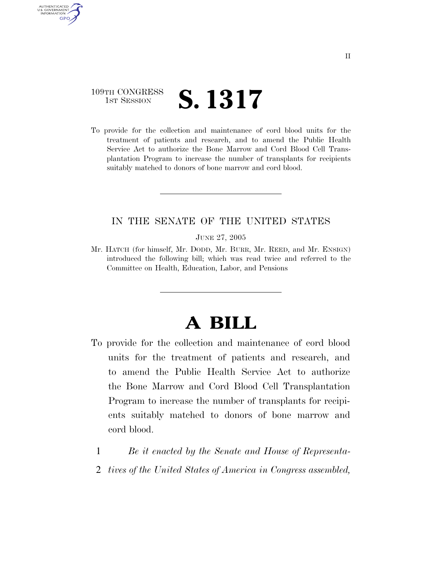### 109TH CONGRESS **1ST SESSION S. 1317**

AUTHENTICATED U.S. GOVERNMENT GPO

> To provide for the collection and maintenance of cord blood units for the treatment of patients and research, and to amend the Public Health Service Act to authorize the Bone Marrow and Cord Blood Cell Transplantation Program to increase the number of transplants for recipients suitably matched to donors of bone marrow and cord blood.

#### IN THE SENATE OF THE UNITED STATES

JUNE 27, 2005

Mr. HATCH (for himself, Mr. DODD, Mr. BURR, Mr. REED, and Mr. ENSIGN) introduced the following bill; which was read twice and referred to the Committee on Health, Education, Labor, and Pensions

# **A BILL**

- To provide for the collection and maintenance of cord blood units for the treatment of patients and research, and to amend the Public Health Service Act to authorize the Bone Marrow and Cord Blood Cell Transplantation Program to increase the number of transplants for recipients suitably matched to donors of bone marrow and cord blood.
	- 1 *Be it enacted by the Senate and House of Representa-*
	- 2 *tives of the United States of America in Congress assembled,*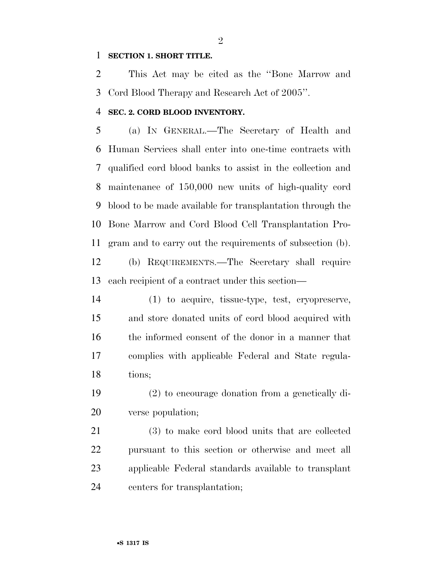#### **SECTION 1. SHORT TITLE.**

 This Act may be cited as the ''Bone Marrow and Cord Blood Therapy and Research Act of 2005''.

#### **SEC. 2. CORD BLOOD INVENTORY.**

 (a) IN GENERAL.—The Secretary of Health and Human Services shall enter into one-time contracts with qualified cord blood banks to assist in the collection and maintenance of 150,000 new units of high-quality cord blood to be made available for transplantation through the Bone Marrow and Cord Blood Cell Transplantation Pro-gram and to carry out the requirements of subsection (b).

 (b) REQUIREMENTS.—The Secretary shall require each recipient of a contract under this section—

 (1) to acquire, tissue-type, test, cryopreserve, and store donated units of cord blood acquired with the informed consent of the donor in a manner that complies with applicable Federal and State regula-tions;

 (2) to encourage donation from a genetically di-verse population;

 (3) to make cord blood units that are collected pursuant to this section or otherwise and meet all applicable Federal standards available to transplant centers for transplantation;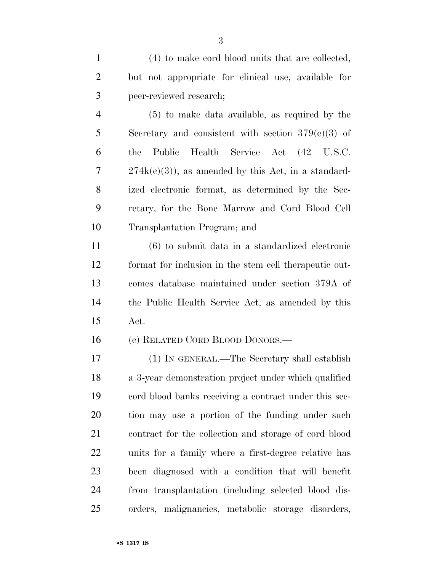(4) to make cord blood units that are collected, but not appropriate for clinical use, available for peer-reviewed research;

 (5) to make data available, as required by the Secretary and consistent with section 379(c)(3) of the Public Health Service Act (42 U.S.C. 7 274k(c)(3)), as amended by this Act, in a standard- ized electronic format, as determined by the Sec- retary, for the Bone Marrow and Cord Blood Cell Transplantation Program; and

 (6) to submit data in a standardized electronic format for inclusion in the stem cell therapeutic out- comes database maintained under section 379A of the Public Health Service Act, as amended by this Act.

(c) RELATED CORD BLOOD DONORS.—

 (1) IN GENERAL.—The Secretary shall establish a 3-year demonstration project under which qualified cord blood banks receiving a contract under this sec- tion may use a portion of the funding under such contract for the collection and storage of cord blood units for a family where a first-degree relative has been diagnosed with a condition that will benefit from transplantation (including selected blood dis-orders, malignancies, metabolic storage disorders,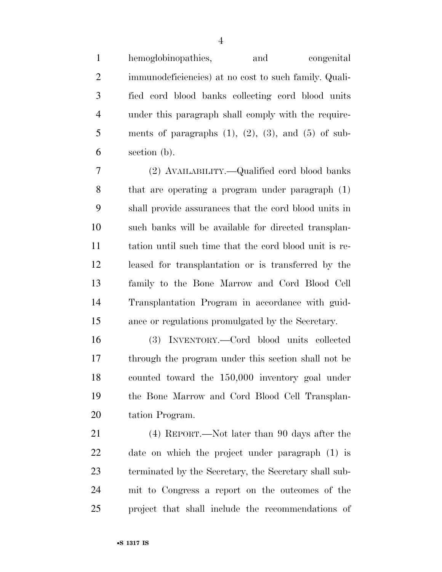hemoglobinopathies, and congenital immunodeficiencies) at no cost to such family. Quali- fied cord blood banks collecting cord blood units under this paragraph shall comply with the require-5 ments of paragraphs  $(1)$ ,  $(2)$ ,  $(3)$ , and  $(5)$  of sub-section (b).

 (2) AVAILABILITY.—Qualified cord blood banks that are operating a program under paragraph (1) shall provide assurances that the cord blood units in such banks will be available for directed transplan- tation until such time that the cord blood unit is re- leased for transplantation or is transferred by the family to the Bone Marrow and Cord Blood Cell Transplantation Program in accordance with guid-ance or regulations promulgated by the Secretary.

 (3) INVENTORY.—Cord blood units collected through the program under this section shall not be counted toward the 150,000 inventory goal under the Bone Marrow and Cord Blood Cell Transplan-tation Program.

 (4) REPORT.—Not later than 90 days after the date on which the project under paragraph (1) is terminated by the Secretary, the Secretary shall sub- mit to Congress a report on the outcomes of the project that shall include the recommendations of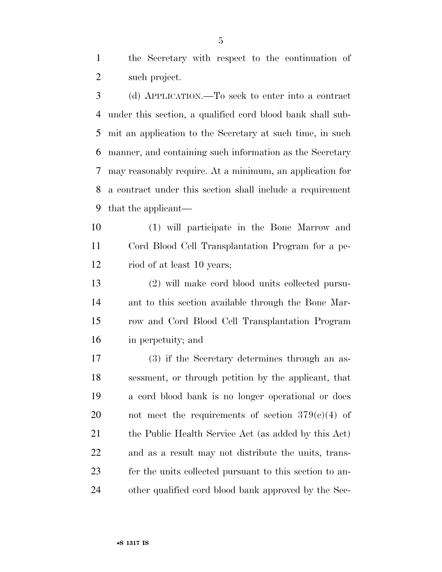the Secretary with respect to the continuation of such project.

 (d) APPLICATION.—To seek to enter into a contract under this section, a qualified cord blood bank shall sub- mit an application to the Secretary at such time, in such manner, and containing such information as the Secretary may reasonably require. At a minimum, an application for a contract under this section shall include a requirement that the applicant—

 (1) will participate in the Bone Marrow and Cord Blood Cell Transplantation Program for a pe-riod of at least 10 years;

 (2) will make cord blood units collected pursu- ant to this section available through the Bone Mar- row and Cord Blood Cell Transplantation Program in perpetuity; and

 (3) if the Secretary determines through an as- sessment, or through petition by the applicant, that a cord blood bank is no longer operational or does 20 not meet the requirements of section  $379(c)(4)$  of 21 the Public Health Service Act (as added by this Act) and as a result may not distribute the units, trans- fer the units collected pursuant to this section to an-other qualified cord blood bank approved by the Sec-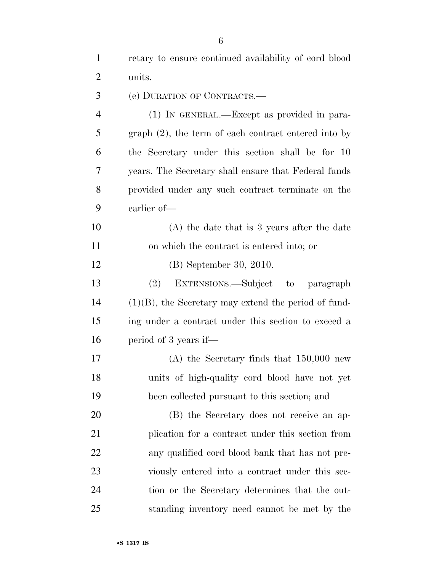retary to ensure continued availability of cord blood units. (e) DURATION OF CONTRACTS.— (1) IN GENERAL.—Except as provided in para- graph (2), the term of each contract entered into by the Secretary under this section shall be for 10 years. The Secretary shall ensure that Federal funds provided under any such contract terminate on the earlier of— (A) the date that is 3 years after the date on which the contract is entered into; or (B) September 30, 2010. (2) EXTENSIONS.—Subject to paragraph (1)(B), the Secretary may extend the period of fund- ing under a contract under this section to exceed a period of 3 years if— (A) the Secretary finds that 150,000 new units of high-quality cord blood have not yet been collected pursuant to this section; and (B) the Secretary does not receive an ap- plication for a contract under this section from any qualified cord blood bank that has not pre- viously entered into a contract under this sec-tion or the Secretary determines that the out-

standing inventory need cannot be met by the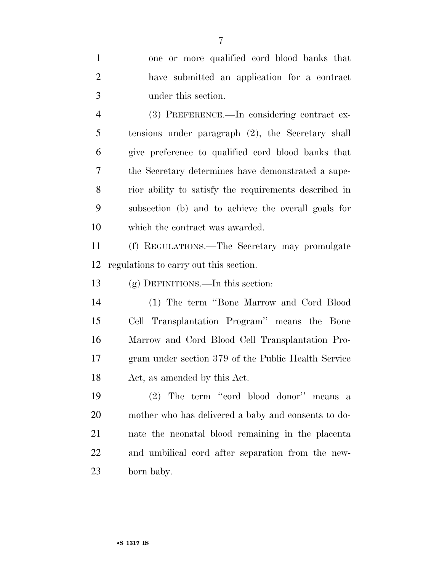| $\mathbf{1}$   | one or more qualified cord blood banks that           |
|----------------|-------------------------------------------------------|
| $\mathfrak{2}$ | have submitted an application for a contract          |
| 3              | under this section.                                   |
| $\overline{4}$ | (3) PREFERENCE.—In considering contract ex-           |
| 5              | tensions under paragraph (2), the Secretary shall     |
| 6              | give preference to qualified cord blood banks that    |
| 7              | the Secretary determines have demonstrated a supe-    |
| 8              | rior ability to satisfy the requirements described in |
| 9              | subsection (b) and to achieve the overall goals for   |
| 10             | which the contract was awarded.                       |
| 11             | (f) REGULATIONS.—The Secretary may promulgate         |
| 12             | regulations to carry out this section.                |
| 13             | $(g)$ DEFINITIONS.—In this section:                   |
| 14             | (1) The term "Bone Marrow and Cord Blood"             |
| 15             | Cell Transplantation Program" means the Bone          |
| 16             | Marrow and Cord Blood Cell Transplantation Pro-       |
| 17             | gram under section 379 of the Public Health Service   |
| 18             | Act, as amended by this Act.                          |
| 19             | (2) The term "cord blood donor" means a               |
| 20             | mother who has delivered a baby and consents to do-   |
| 21             | nate the neonatal blood remaining in the placenta     |
| 22             | and umbilical cord after separation from the new-     |
| 23             | born baby.                                            |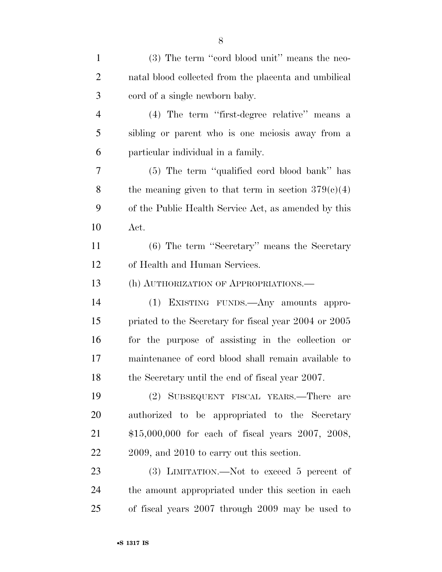(3) The term ''cord blood unit'' means the neo- natal blood collected from the placenta and umbilical cord of a single newborn baby. (4) The term ''first-degree relative'' means a sibling or parent who is one meiosis away from a particular individual in a family. (5) The term ''qualified cord blood bank'' has 8 the meaning given to that term in section  $379(c)(4)$  of the Public Health Service Act, as amended by this Act. (6) The term ''Secretary'' means the Secretary of Health and Human Services. (h) AUTHORIZATION OF APPROPRIATIONS.— (1) EXISTING FUNDS.—Any amounts appro- priated to the Secretary for fiscal year 2004 or 2005 for the purpose of assisting in the collection or maintenance of cord blood shall remain available to 18 the Secretary until the end of fiscal year 2007. (2) SUBSEQUENT FISCAL YEARS.—There are authorized to be appropriated to the Secretary \$15,000,000 for each of fiscal years 2007, 2008, 22 2009, and 2010 to carry out this section. 23 (3) LIMITATION.—Not to exceed 5 percent of the amount appropriated under this section in each of fiscal years 2007 through 2009 may be used to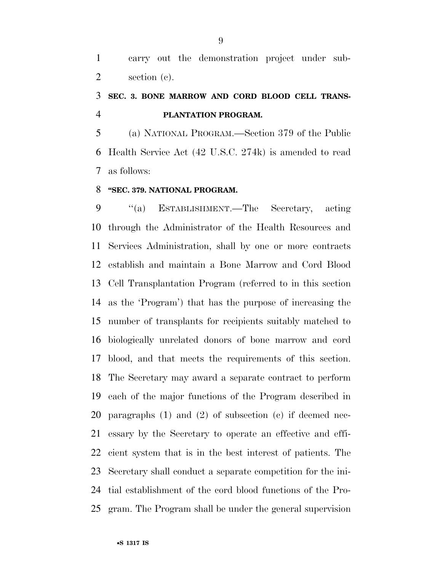carry out the demonstration project under sub-section (c).

### **SEC. 3. BONE MARROW AND CORD BLOOD CELL TRANS-PLANTATION PROGRAM.**

 (a) NATIONAL PROGRAM.—Section 379 of the Public Health Service Act (42 U.S.C. 274k) is amended to read as follows:

#### **''SEC. 379. NATIONAL PROGRAM.**

 ''(a) ESTABLISHMENT.—The Secretary, acting through the Administrator of the Health Resources and Services Administration, shall by one or more contracts establish and maintain a Bone Marrow and Cord Blood Cell Transplantation Program (referred to in this section as the 'Program') that has the purpose of increasing the number of transplants for recipients suitably matched to biologically unrelated donors of bone marrow and cord blood, and that meets the requirements of this section. The Secretary may award a separate contract to perform each of the major functions of the Program described in paragraphs (1) and (2) of subsection (c) if deemed nec- essary by the Secretary to operate an effective and effi- cient system that is in the best interest of patients. The Secretary shall conduct a separate competition for the ini- tial establishment of the cord blood functions of the Pro-gram. The Program shall be under the general supervision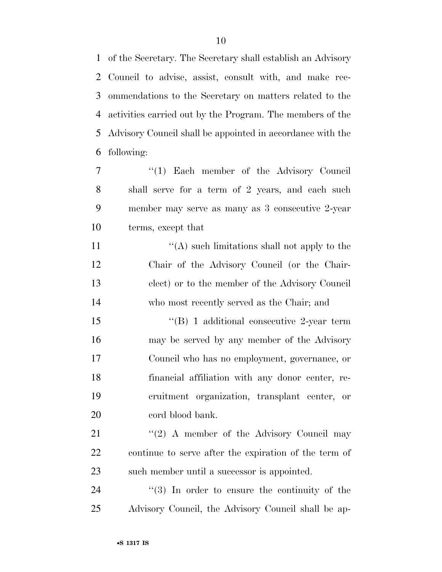of the Secretary. The Secretary shall establish an Advisory Council to advise, assist, consult with, and make rec- ommendations to the Secretary on matters related to the activities carried out by the Program. The members of the Advisory Council shall be appointed in accordance with the following:

7 "(1) Each member of the Advisory Council shall serve for a term of 2 years, and each such member may serve as many as 3 consecutive 2-year terms, except that

 $\langle (A) \rangle$  such limitations shall not apply to the Chair of the Advisory Council (or the Chair- elect) or to the member of the Advisory Council who most recently served as the Chair; and

15 "(B) 1 additional consecutive 2-year term may be served by any member of the Advisory Council who has no employment, governance, or financial affiliation with any donor center, re- cruitment organization, transplant center, or 20 cord blood bank.

21 ''(2) A member of the Advisory Council may continue to serve after the expiration of the term of such member until a successor is appointed.

24 ''(3) In order to ensure the continuity of the Advisory Council, the Advisory Council shall be ap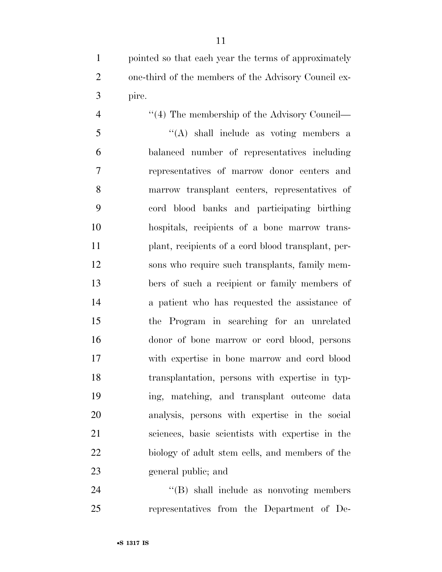pointed so that each year the terms of approximately one-third of the members of the Advisory Council ex-pire.

4 ''(4) The membership of the Advisory Council— ''(A) shall include as voting members a balanced number of representatives including representatives of marrow donor centers and marrow transplant centers, representatives of cord blood banks and participating birthing hospitals, recipients of a bone marrow trans- plant, recipients of a cord blood transplant, per- sons who require such transplants, family mem- bers of such a recipient or family members of a patient who has requested the assistance of the Program in searching for an unrelated donor of bone marrow or cord blood, persons with expertise in bone marrow and cord blood transplantation, persons with expertise in typ- ing, matching, and transplant outcome data analysis, persons with expertise in the social sciences, basic scientists with expertise in the biology of adult stem cells, and members of the general public; and

24 "(B) shall include as nonvoting members representatives from the Department of De-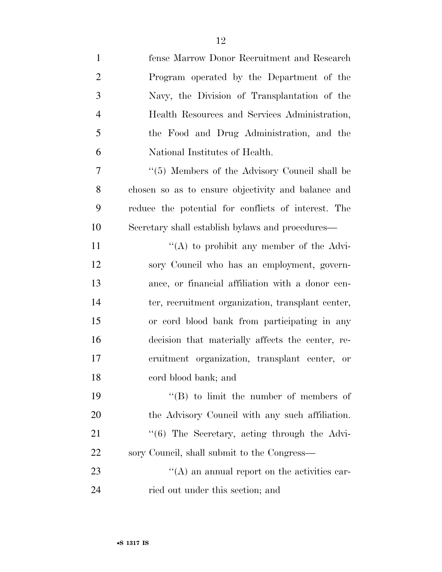| $\mathbf{1}$   | fense Marrow Donor Recruitment and Research                   |
|----------------|---------------------------------------------------------------|
| $\overline{2}$ | Program operated by the Department of the                     |
| 3              | Navy, the Division of Transplantation of the                  |
| $\overline{4}$ | Health Resources and Services Administration,                 |
| 5              | the Food and Drug Administration, and the                     |
| 6              | National Institutes of Health.                                |
| 7              | "(5) Members of the Advisory Council shall be                 |
| 8              | chosen so as to ensure objectivity and balance and            |
| 9              | reduce the potential for conflicts of interest. The           |
| 10             | Secretary shall establish bylaws and procedures—              |
| 11             | "(A) to prohibit any member of the Advi-                      |
| 12             | sory Council who has an employment, govern-                   |
| 13             | ance, or financial affiliation with a donor cen-              |
| 14             | ter, recruitment organization, transplant center,             |
| 15             | or cord blood bank from participating in any                  |
| 16             | decision that materially affects the center, re-              |
| 17             | cruitment organization, transplant center, or                 |
| 18             | eord blood bank; and                                          |
| 19             | $\lq\lq (B)$ to limit the number of members of                |
| 20             | the Advisory Council with any such affiliation.               |
| 21             | $\cdot\cdot\cdot$ (6) The Secretary, acting through the Advi- |
| 22             | sory Council, shall submit to the Congress—                   |
| 23             | $\lq\lq$ and annual report on the activities car-             |
| 24             | ried out under this section; and                              |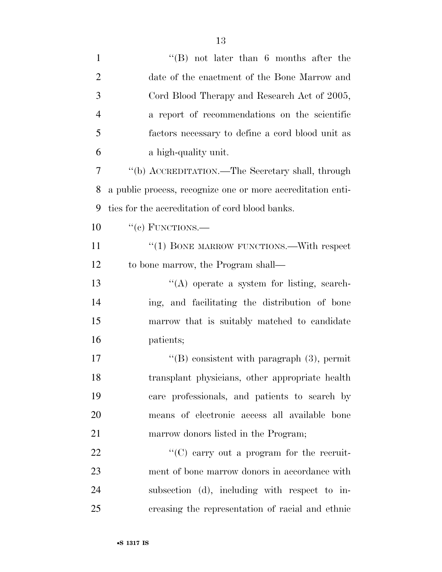| $\mathbf{1}$   | $\lq\lq$ (B) not later than 6 months after the              |
|----------------|-------------------------------------------------------------|
| $\overline{2}$ | date of the enactment of the Bone Marrow and                |
| 3              | Cord Blood Therapy and Research Act of 2005,                |
| $\overline{4}$ | a report of recommendations on the scientific               |
| 5              | factors necessary to define a cord blood unit as            |
| 6              | a high-quality unit.                                        |
| 7              | "(b) ACCREDITATION.—The Secretary shall, through            |
| 8              | a public process, recognize one or more accreditation enti- |
| 9              | ties for the accreditation of cord blood banks.             |
| 10             | $``(e)$ FUNCTIONS.—                                         |
| 11             | " $(1)$ BONE MARROW FUNCTIONS.—With respect                 |
| 12             | to bone marrow, the Program shall—                          |
| 13             | "(A) operate a system for listing, search-                  |
| 14             | ing, and facilitating the distribution of bone              |
| 15             | marrow that is suitably matched to candidate                |
| 16             | patients;                                                   |
| 17             | "(B) consistent with paragraph $(3)$ , permit               |
| 18             | transplant physicians, other appropriate health             |
| 19             | care professionals, and patients to search by               |
| 20             | means of electronic access all available bone               |
| 21             | marrow donors listed in the Program;                        |
| 22             | $\lq\lq$ (C) carry out a program for the recruit-           |
| 23             | ment of bone marrow donors in accordance with               |
| 24             | subsection (d), including with respect to in-               |
| 25             | creasing the representation of racial and ethnic            |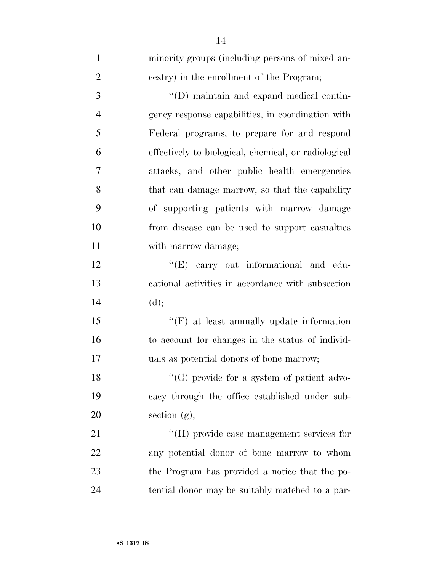| $\mathbf{1}$   | minority groups (including persons of mixed an-      |
|----------------|------------------------------------------------------|
| $\overline{2}$ | cestry) in the enrollment of the Program;            |
| 3              | "(D) maintain and expand medical contin-             |
| $\overline{4}$ | gency response capabilities, in coordination with    |
| 5              | Federal programs, to prepare for and respond         |
| 6              | effectively to biological, chemical, or radiological |
| 7              | attacks, and other public health emergencies         |
| 8              | that can damage marrow, so that the capability       |
| 9              | of supporting patients with marrow damage            |
| 10             | from disease can be used to support casualties       |
| 11             | with marrow damage;                                  |
| 12             | "(E) carry out informational and edu-                |
| 13             | cational activities in accordance with subsection    |
| 14             | (d);                                                 |
| 15             | $\lq\lq(F)$ at least annually update information     |
| 16             | to account for changes in the status of individ-     |
| 17             | uals as potential donors of bone marrow;             |
| 18             | $\lq\lq(G)$ provide for a system of patient advo-    |
| 19             | cacy through the office established under sub-       |
| 20             | section $(g)$ ;                                      |
| 21             | $\lq\lq(H)$ provide case management services for     |
| <u>22</u>      | any potential donor of bone marrow to whom           |
| 23             | the Program has provided a notice that the po-       |
| 24             | tential donor may be suitably matched to a par-      |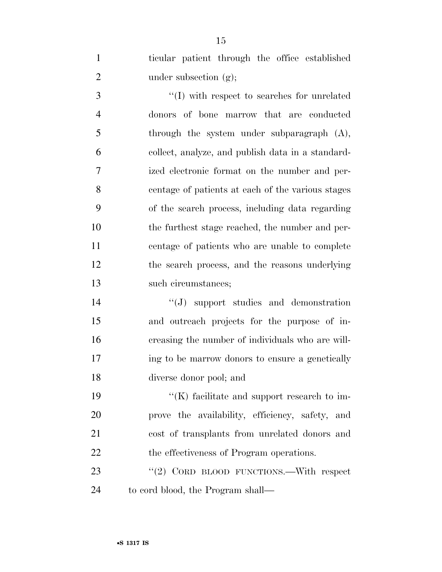ticular patient through the office established 2 under subsection (g);

 ''(I) with respect to searches for unrelated donors of bone marrow that are conducted 5 through the system under subparagraph  $(A)$ , collect, analyze, and publish data in a standard- ized electronic format on the number and per- centage of patients at each of the various stages of the search process, including data regarding the furthest stage reached, the number and per- centage of patients who are unable to complete the search process, and the reasons underlying such circumstances;

 ''(J) support studies and demonstration and outreach projects for the purpose of in- creasing the number of individuals who are will- ing to be marrow donors to ensure a genetically diverse donor pool; and

 $\langle K \rangle$  facilitate and support research to im- prove the availability, efficiency, safety, and cost of transplants from unrelated donors and 22 the effectiveness of Program operations.

23 "(2) CORD BLOOD FUNCTIONS.—With respect to cord blood, the Program shall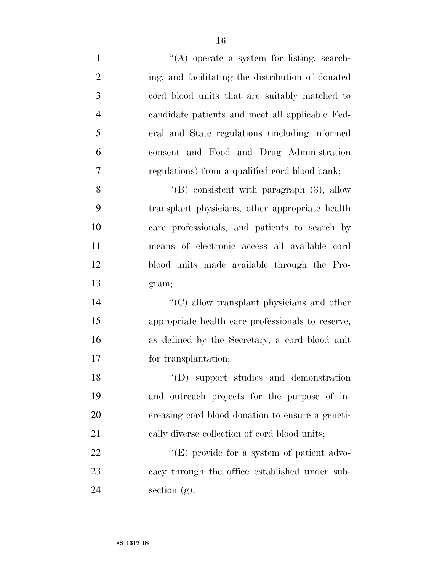1 ''(A) operate a system for listing, search- ing, and facilitating the distribution of donated cord blood units that are suitably matched to candidate patients and meet all applicable Fed- eral and State regulations (including informed consent and Food and Drug Administration regulations) from a qualified cord blood bank; 8 "'(B) consistent with paragraph (3), allow

 transplant physicians, other appropriate health care professionals, and patients to search by means of electronic access all available cord blood units made available through the Pro-gram;

14 ''(C) allow transplant physicians and other appropriate health care professionals to reserve, as defined by the Secretary, a cord blood unit for transplantation;

18 "(D) support studies and demonstration and outreach projects for the purpose of in- creasing cord blood donation to ensure a geneti-21 cally diverse collection of cord blood units;

22 "'(E) provide for a system of patient advo- cacy through the office established under sub-24 section  $(g)$ ;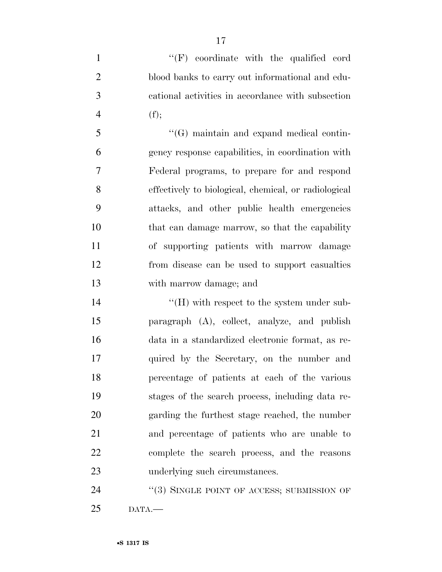$\langle 'F \rangle$  coordinate with the qualified cord blood banks to carry out informational and edu- cational activities in accordance with subsection 4  $(f);$ 

 ''(G) maintain and expand medical contin- gency response capabilities, in coordination with Federal programs, to prepare for and respond effectively to biological, chemical, or radiological attacks, and other public health emergencies that can damage marrow, so that the capability of supporting patients with marrow damage from disease can be used to support casualties with marrow damage; and

 $\langle H \rangle$  with respect to the system under sub- paragraph (A), collect, analyze, and publish data in a standardized electronic format, as re- quired by the Secretary, on the number and percentage of patients at each of the various stages of the search process, including data re- garding the furthest stage reached, the number and percentage of patients who are unable to complete the search process, and the reasons underlying such circumstances.

24 "(3) SINGLE POINT OF ACCESS; SUBMISSION OF DATA.—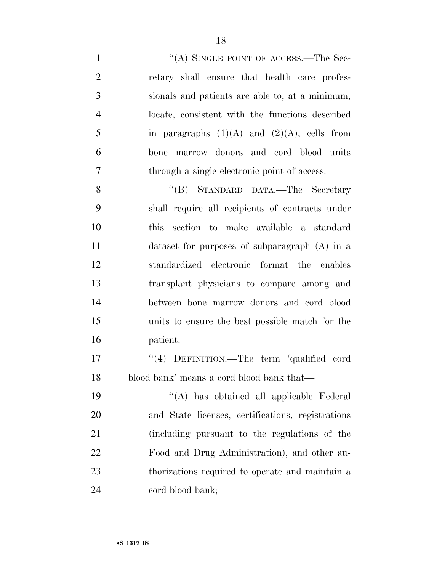1 "(A) SINGLE POINT OF ACCESS.—The Sec- retary shall ensure that health care profes- sionals and patients are able to, at a minimum, locate, consistent with the functions described 5 in paragraphs  $(1)(A)$  and  $(2)(A)$ , cells from bone marrow donors and cord blood units through a single electronic point of access.

 ''(B) STANDARD DATA.—The Secretary shall require all recipients of contracts under this section to make available a standard dataset for purposes of subparagraph (A) in a standardized electronic format the enables transplant physicians to compare among and between bone marrow donors and cord blood units to ensure the best possible match for the patient.

17 ''(4) DEFINITION.—The term 'qualified cord blood bank' means a cord blood bank that—

 ''(A) has obtained all applicable Federal and State licenses, certifications, registrations (including pursuant to the regulations of the Food and Drug Administration), and other au- thorizations required to operate and maintain a 24 cord blood bank;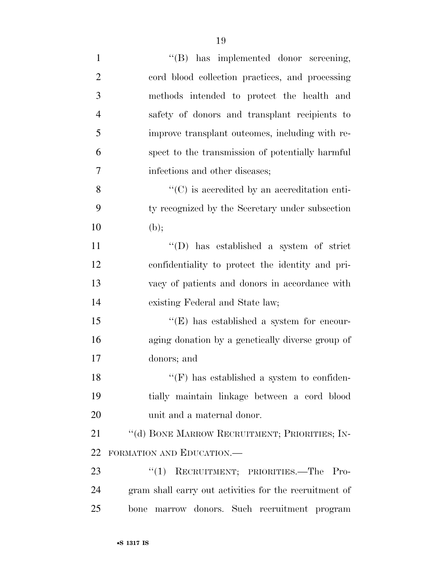| $\mathbf{1}$   | "(B) has implemented donor screening,                  |
|----------------|--------------------------------------------------------|
| $\overline{2}$ | cord blood collection practices, and processing        |
| 3              | methods intended to protect the health and             |
| $\overline{4}$ | safety of donors and transplant recipients to          |
| 5              | improve transplant outcomes, including with re-        |
| 6              | spect to the transmission of potentially harmful       |
| 7              | infections and other diseases;                         |
| 8              | $\lq\lq$ (C) is accredited by an accreditation enti-   |
| 9              | ty recognized by the Secretary under subsection        |
| 10             | (b);                                                   |
| 11             | $\lq\lq$ (D) has established a system of strict        |
| 12             | confidentiality to protect the identity and pri-       |
| 13             | vacy of patients and donors in accordance with         |
| 14             | existing Federal and State law;                        |
| 15             | "(E) has established a system for encour-              |
| 16             | aging donation by a genetically diverse group of       |
| 17             | donors; and                                            |
| 18             | $\lq\lq(F)$ has established a system to confiden-      |
| 19             | tially maintain linkage between a cord blood           |
| 20             | unit and a maternal donor.                             |
| 21             | "(d) BONE MARROW RECRUITMENT; PRIORITIES; IN-          |
| 22             | FORMATION AND EDUCATION.-                              |
| 23             | RECRUITMENT; PRIORITIES.—The<br>``(1)<br>$Pro-$        |
| 24             | gram shall carry out activities for the recruitment of |
| 25             | marrow donors. Such recruitment program<br>bone        |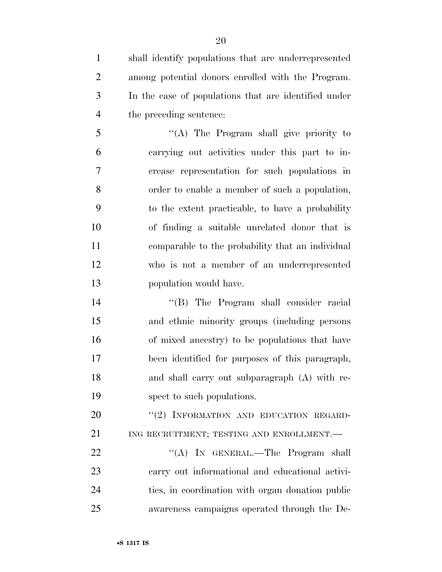shall identify populations that are underrepresented among potential donors enrolled with the Program. In the case of populations that are identified under the preceding sentence:

 ''(A) The Program shall give priority to carrying out activities under this part to in- crease representation for such populations in order to enable a member of such a population, to the extent practicable, to have a probability of finding a suitable unrelated donor that is comparable to the probability that an individual who is not a member of an underrepresented population would have.

 ''(B) The Program shall consider racial and ethnic minority groups (including persons of mixed ancestry) to be populations that have been identified for purposes of this paragraph, and shall carry out subparagraph (A) with re-spect to such populations.

20 "(2) INFORMATION AND EDUCATION REGARD-21 ING RECRUITMENT; TESTING AND ENROLLMENT.

22 "'(A) In GENERAL.—The Program shall carry out informational and educational activi- ties, in coordination with organ donation public awareness campaigns operated through the De-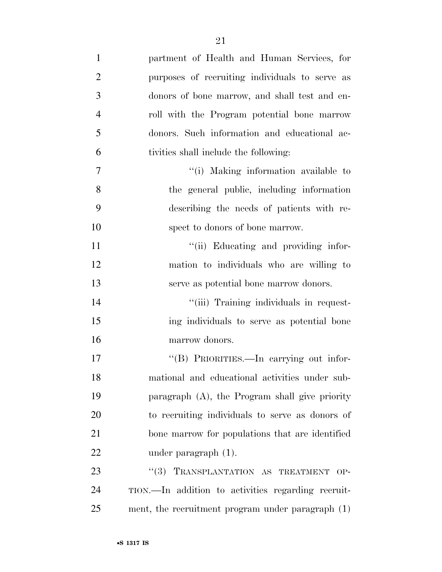| $\mathbf{1}$   | partment of Health and Human Services, for         |
|----------------|----------------------------------------------------|
| $\overline{2}$ | purposes of recruiting individuals to serve as     |
| 3              | donors of bone marrow, and shall test and en-      |
| $\overline{4}$ | roll with the Program potential bone marrow        |
| 5              | donors. Such information and educational ac-       |
| 6              | tivities shall include the following:              |
| 7              | "(i) Making information available to               |
| 8              | the general public, including information          |
| 9              | describing the needs of patients with re-          |
| 10             | spect to donors of bone marrow.                    |
| 11             | "(ii) Educating and providing infor-               |
| 12             | mation to individuals who are willing to           |
| 13             | serve as potential bone marrow donors.             |
| 14             | "(iii) Training individuals in request-            |
| 15             | ing individuals to serve as potential bone         |
| 16             | marrow donors.                                     |
| 17             | "(B) PRIORITIES.—In carrying out infor-            |
| 18             | mational and educational activities under sub-     |
| 19             | paragraph (A), the Program shall give priority     |
| 20             | to recruiting individuals to serve as donors of    |
| 21             | bone marrow for populations that are identified    |
| $22\,$         | under paragraph $(1)$ .                            |
| 23             | "(3) TRANSPLANTATION AS TREATMENT OP-              |
| 24             | TION.—In addition to activities regarding recruit- |
| 25             | ment, the recruitment program under paragraph (1)  |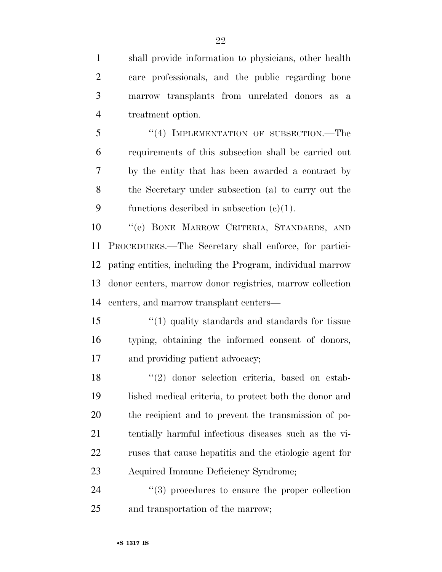shall provide information to physicians, other health care professionals, and the public regarding bone marrow transplants from unrelated donors as a treatment option.

5 "(4) IMPLEMENTATION OF SUBSECTION.—The requirements of this subsection shall be carried out by the entity that has been awarded a contract by the Secretary under subsection (a) to carry out the 9 functions described in subsection  $(c)(1)$ .

 ''(e) BONE MARROW CRITERIA, STANDARDS, AND PROCEDURES.—The Secretary shall enforce, for partici- pating entities, including the Program, individual marrow donor centers, marrow donor registries, marrow collection centers, and marrow transplant centers—

15 ''(1) quality standards and standards for tissue typing, obtaining the informed consent of donors, and providing patient advocacy;

18 ''(2) donor selection criteria, based on estab- lished medical criteria, to protect both the donor and the recipient and to prevent the transmission of po- tentially harmful infectious diseases such as the vi- ruses that cause hepatitis and the etiologic agent for Acquired Immune Deficiency Syndrome;

24  $(3)$  procedures to ensure the proper collection and transportation of the marrow;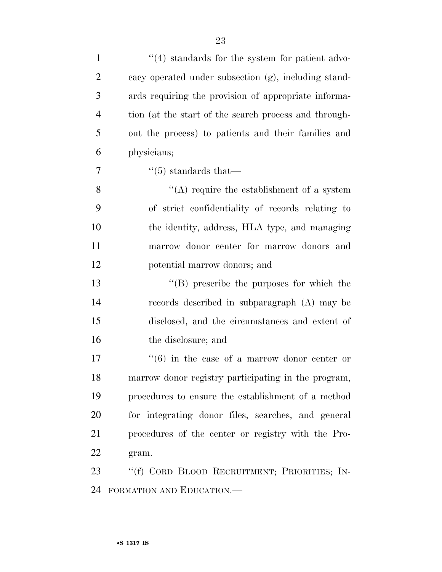| $\mathbf{1}$   | $\lq(4)$ standards for the system for patient advo-          |
|----------------|--------------------------------------------------------------|
| $\overline{2}$ | cacy operated under subsection (g), including stand-         |
| 3              | ards requiring the provision of appropriate informa-         |
| $\overline{4}$ | tion (at the start of the search process and through-        |
| 5              | out the process) to patients and their families and          |
| 6              | physicians;                                                  |
| 7              | $\lq(5)$ standards that—                                     |
| 8              | $\lq\lq$ require the establishment of a system               |
| 9              | of strict confidentiality of records relating to             |
| 10             | the identity, address, HLA type, and managing                |
| 11             | marrow donor center for marrow donors and                    |
| 12             | potential marrow donors; and                                 |
| 13             | "(B) prescribe the purposes for which the                    |
| 14             | records described in subparagraph (A) may be                 |
| 15             | disclosed, and the circumstances and extent of               |
| 16             | the disclosure; and                                          |
| 17             | $\cdot\cdot\cdot(6)$ in the case of a marrow donor center or |
| 18             | marrow donor registry participating in the program,          |
| 19             | procedures to ensure the establishment of a method           |
| 20             | for integrating donor files, searches, and general           |
| 21             | procedures of the center or registry with the Pro-           |
| 22             | gram.                                                        |
| 23             | "(f) CORD BLOOD RECRUITMENT; PRIORITIES; IN-                 |
| 24             | FORMATION AND EDUCATION.—                                    |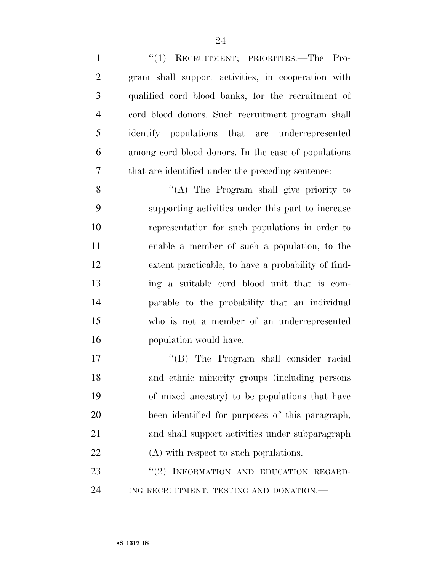''(1) RECRUITMENT; PRIORITIES.—The Pro- gram shall support activities, in cooperation with qualified cord blood banks, for the recruitment of cord blood donors. Such recruitment program shall identify populations that are underrepresented among cord blood donors. In the case of populations that are identified under the preceding sentence: ''(A) The Program shall give priority to supporting activities under this part to increase representation for such populations in order to enable a member of such a population, to the extent practicable, to have a probability of find- ing a suitable cord blood unit that is com- parable to the probability that an individual who is not a member of an underrepresented population would have. ''(B) The Program shall consider racial and ethnic minority groups (including persons of mixed ancestry) to be populations that have been identified for purposes of this paragraph, and shall support activities under subparagraph

22 (A) with respect to such populations.

23 "(2) INFORMATION AND EDUCATION REGARD-ING RECRUITMENT; TESTING AND DONATION.—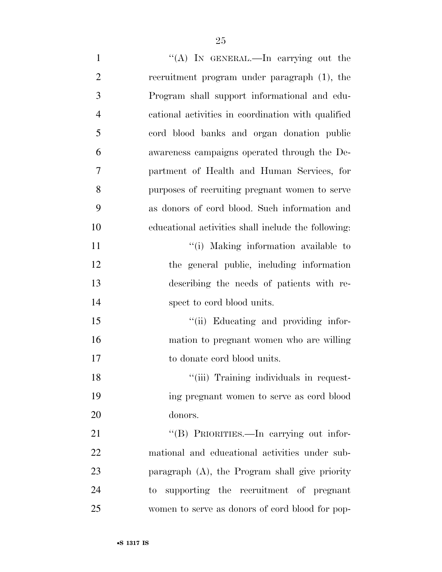| $\mathbf{1}$   | "(A) IN GENERAL.—In carrying out the                |
|----------------|-----------------------------------------------------|
| $\overline{2}$ | recruitment program under paragraph (1), the        |
| 3              | Program shall support informational and edu-        |
| $\overline{4}$ | cational activities in coordination with qualified  |
| 5              | cord blood banks and organ donation public          |
| 6              | awareness campaigns operated through the De-        |
| 7              | partment of Health and Human Services, for          |
| 8              | purposes of recruiting pregnant women to serve      |
| 9              | as donors of cord blood. Such information and       |
| 10             | educational activities shall include the following: |
| 11             | "(i) Making information available to                |
| 12             | the general public, including information           |
| 13             | describing the needs of patients with re-           |
| 14             | spect to cord blood units.                          |
| 15             | "(ii) Educating and providing infor-                |
| 16             | mation to pregnant women who are willing            |
| 17             | to donate cord blood units.                         |
| 18             | "(iii) Training individuals in request-             |
| 19             | ing pregnant women to serve as cord blood           |
| <b>20</b>      | donors.                                             |
| 21             | "(B) PRIORITIES.—In carrying out infor-             |
| 22             | mational and educational activities under sub-      |
| 23             | paragraph (A), the Program shall give priority      |
| 24             | supporting the recruitment of pregnant<br>to        |
| 25             | women to serve as donors of cord blood for pop-     |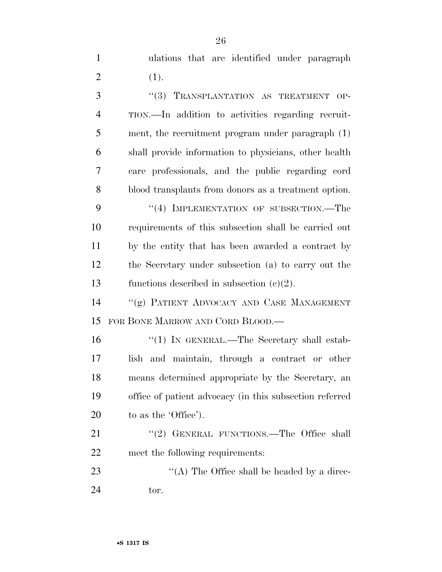ulations that are identified under paragraph 2  $(1).$ 

3 "(3) TRANSPLANTATION AS TREATMENT OP- TION.—In addition to activities regarding recruit- ment, the recruitment program under paragraph (1) shall provide information to physicians, other health care professionals, and the public regarding cord blood transplants from donors as a treatment option. 9 "(4) IMPLEMENTATION OF SUBSECTION.—The requirements of this subsection shall be carried out by the entity that has been awarded a contract by the Secretary under subsection (a) to carry out the functions described in subsection (c)(2). ''(g) PATIENT ADVOCACY AND CASE MANAGEMENT FOR BONE MARROW AND CORD BLOOD.— 16 "(1) IN GENERAL.—The Secretary shall estab- lish and maintain, through a contract or other means determined appropriate by the Secretary, an office of patient advocacy (in this subsection referred 20 to as the 'Office'). 21 ''(2) GENERAL FUNCTIONS.—The Office shall meet the following requirements:

23  $\cdot$  ''(A) The Office shall be headed by a direc-tor.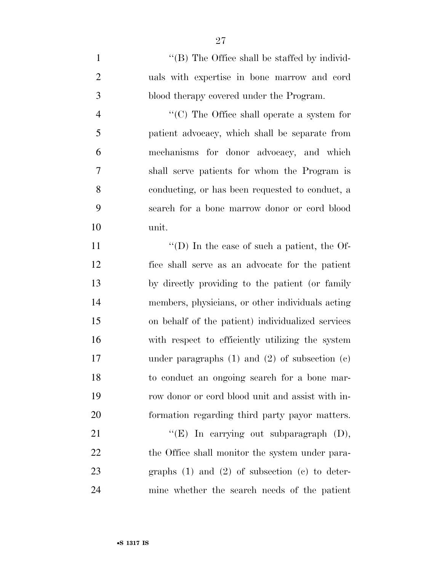1 ''(B) The Office shall be staffed by individ- uals with expertise in bone marrow and cord blood therapy covered under the Program.

 ''(C) The Office shall operate a system for patient advocacy, which shall be separate from mechanisms for donor advocacy, and which shall serve patients for whom the Program is conducting, or has been requested to conduct, a search for a bone marrow donor or cord blood unit.

 $\langle (D) \rangle$  In the case of such a patient, the Of- fice shall serve as an advocate for the patient by directly providing to the patient (or family members, physicians, or other individuals acting on behalf of the patient) individualized services with respect to efficiently utilizing the system under paragraphs (1) and (2) of subsection (c) to conduct an ongoing search for a bone mar- row donor or cord blood unit and assist with in-formation regarding third party payor matters.

 $"({\rm E})$  In carrying out subparagraph (D), 22 the Office shall monitor the system under para- graphs (1) and (2) of subsection (c) to deter-mine whether the search needs of the patient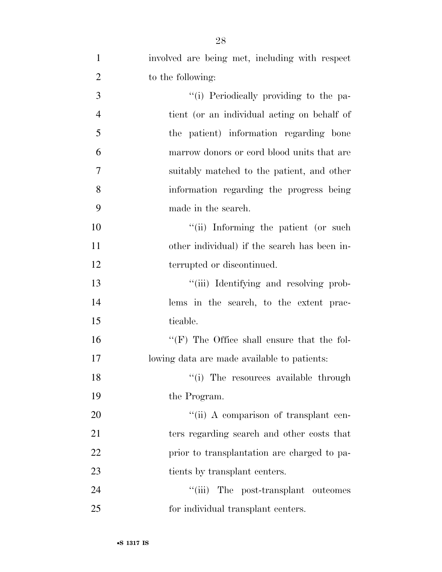| $\mathbf{1}$   | involved are being met, including with respect      |
|----------------|-----------------------------------------------------|
| $\overline{2}$ | to the following:                                   |
| 3              | "(i) Periodically providing to the pa-              |
| $\overline{4}$ | tient (or an individual acting on behalf of         |
| 5              | the patient) information regarding bone             |
| 6              | marrow donors or cord blood units that are          |
| 7              | suitably matched to the patient, and other          |
| $8\,$          | information regarding the progress being            |
| 9              | made in the search.                                 |
| 10             | "(ii) Informing the patient (or such                |
| 11             | other individual) if the search has been in-        |
| 12             | terrupted or discontinued.                          |
| 13             | "(iii) Identifying and resolving prob-              |
| 14             | lems in the search, to the extent prac-             |
| 15             | ticable.                                            |
| 16             | $\lq\lq$ (F) The Office shall ensure that the fol-  |
| 17             | lowing data are made available to patients:         |
| 18             | "(i) The resources available through                |
| 19             | the Program.                                        |
| 20             | "(ii) A comparison of transplant cen-               |
| 21             | ters regarding search and other costs that          |
| 22             | prior to transplantation are charged to pa-         |
| 23             | tients by transplant centers.                       |
| 24             | $\lq(\mathbf{iii})$<br>The post-transplant outcomes |
| 25             | for individual transplant centers.                  |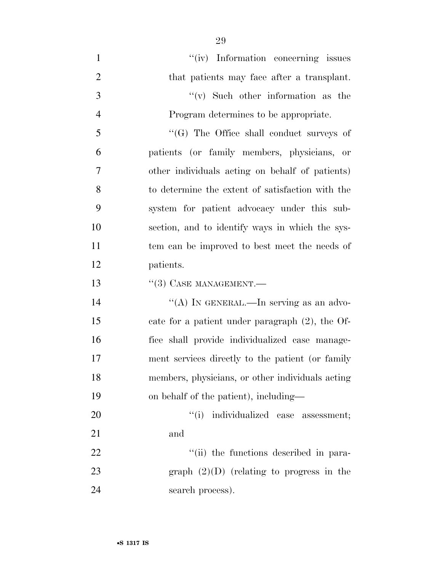$''(iv)$  Information concerning issues 2 that patients may face after a transplant. 3 ''(v) Such other information as the Program determines to be appropriate. ''(G) The Office shall conduct surveys of patients (or family members, physicians, or other individuals acting on behalf of patients) to determine the extent of satisfaction with the system for patient advocacy under this sub- section, and to identify ways in which the sys- tem can be improved to best meet the needs of patients.  $(3)$  CASE MANAGEMENT. 14 "(A) IN GENERAL.—In serving as an advo- cate for a patient under paragraph (2), the Of- fice shall provide individualized case manage- ment services directly to the patient (or family members, physicians, or other individuals acting on behalf of the patient), including—  $\frac{1}{1}$  individualized case assessment; and

22  $\frac{1}{1}$  the functions described in para-23 graph  $(2)(D)$  (relating to progress in the search process).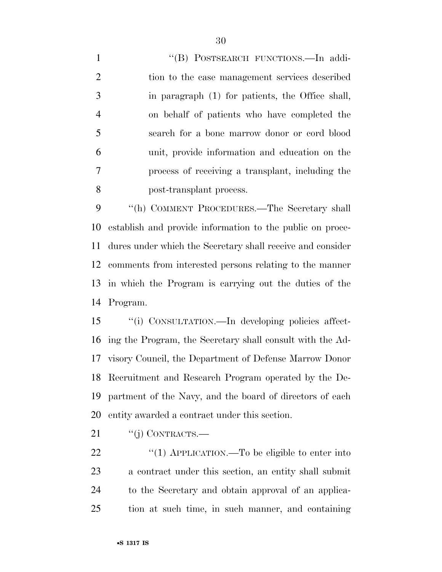1 "(B) POSTSEARCH FUNCTIONS.—In addi- tion to the case management services described in paragraph (1) for patients, the Office shall, on behalf of patients who have completed the search for a bone marrow donor or cord blood unit, provide information and education on the process of receiving a transplant, including the post-transplant process.

 ''(h) COMMENT PROCEDURES.—The Secretary shall establish and provide information to the public on proce- dures under which the Secretary shall receive and consider comments from interested persons relating to the manner in which the Program is carrying out the duties of the Program.

 ''(i) CONSULTATION.—In developing policies affect- ing the Program, the Secretary shall consult with the Ad- visory Council, the Department of Defense Marrow Donor Recruitment and Research Program operated by the De- partment of the Navy, and the board of directors of each entity awarded a contract under this section.

21  $"(j)$  CONTRACTS.—

 $\frac{4}{1}$  APPLICATION.—To be eligible to enter into a contract under this section, an entity shall submit to the Secretary and obtain approval of an applica-tion at such time, in such manner, and containing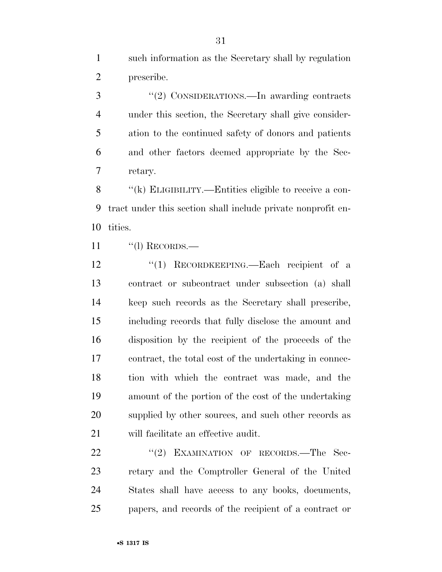such information as the Secretary shall by regulation prescribe.

 ''(2) CONSIDERATIONS.—In awarding contracts under this section, the Secretary shall give consider- ation to the continued safety of donors and patients and other factors deemed appropriate by the Sec-retary.

 ''(k) ELIGIBILITY.—Entities eligible to receive a con- tract under this section shall include private nonprofit en-tities.

11  $\qquad$  "(l) RECORDS.—

12 "(1) RECORDKEEPING.—Each recipient of a contract or subcontract under subsection (a) shall keep such records as the Secretary shall prescribe, including records that fully disclose the amount and disposition by the recipient of the proceeds of the contract, the total cost of the undertaking in connec- tion with which the contract was made, and the amount of the portion of the cost of the undertaking supplied by other sources, and such other records as will facilitate an effective audit.

22 "'(2) EXAMINATION OF RECORDS.—The Sec- retary and the Comptroller General of the United States shall have access to any books, documents, papers, and records of the recipient of a contract or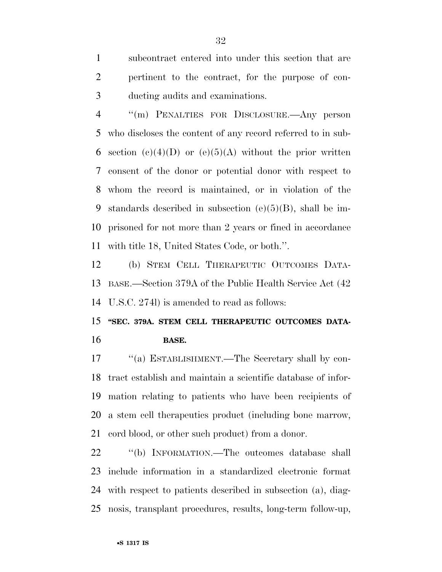subcontract entered into under this section that are pertinent to the contract, for the purpose of con-ducting audits and examinations.

 ''(m) PENALTIES FOR DISCLOSURE.—Any person who discloses the content of any record referred to in sub-6 section  $(e)(4)(D)$  or  $(e)(5)(A)$  without the prior written consent of the donor or potential donor with respect to whom the record is maintained, or in violation of the standards described in subsection (e)(5)(B), shall be im- prisoned for not more than 2 years or fined in accordance with title 18, United States Code, or both.''.

 (b) STEM CELL THERAPEUTIC OUTCOMES DATA- BASE.—Section 379A of the Public Health Service Act (42 U.S.C. 274l) is amended to read as follows:

### **''SEC. 379A. STEM CELL THERAPEUTIC OUTCOMES DATA-BASE.**

17 "(a) ESTABLISHMENT.—The Secretary shall by con- tract establish and maintain a scientific database of infor- mation relating to patients who have been recipients of a stem cell therapeutics product (including bone marrow, cord blood, or other such product) from a donor.

22 "(b) INFORMATION.—The outcomes database shall include information in a standardized electronic format with respect to patients described in subsection (a), diag-nosis, transplant procedures, results, long-term follow-up,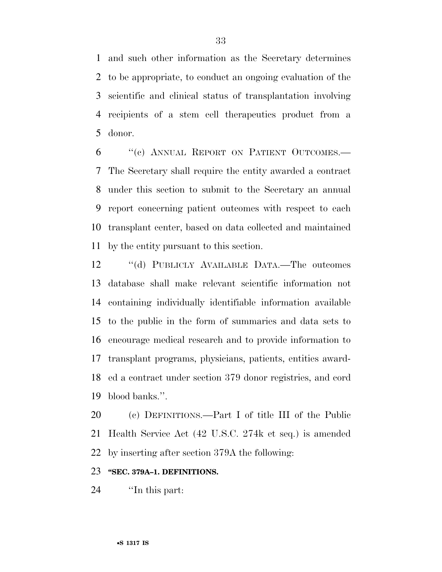and such other information as the Secretary determines to be appropriate, to conduct an ongoing evaluation of the scientific and clinical status of transplantation involving recipients of a stem cell therapeutics product from a donor.

 ''(c) ANNUAL REPORT ON PATIENT OUTCOMES.— The Secretary shall require the entity awarded a contract under this section to submit to the Secretary an annual report concerning patient outcomes with respect to each transplant center, based on data collected and maintained by the entity pursuant to this section.

12 "(d) PUBLICLY AVAILABLE DATA.—The outcomes database shall make relevant scientific information not containing individually identifiable information available to the public in the form of summaries and data sets to encourage medical research and to provide information to transplant programs, physicians, patients, entities award- ed a contract under section 379 donor registries, and cord blood banks.''.

 (c) DEFINITIONS.—Part I of title III of the Public Health Service Act (42 U.S.C. 274k et seq.) is amended by inserting after section 379A the following:

#### **''SEC. 379A–1. DEFINITIONS.**

24  $\qquad$  The this part: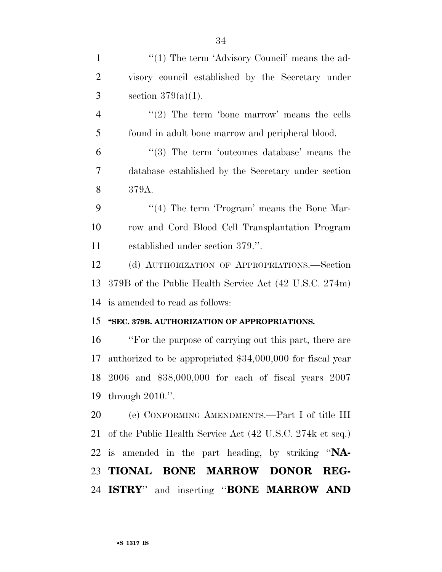| $\mathbf{1}$   | "(1) The term 'Advisory Council' means the ad-               |
|----------------|--------------------------------------------------------------|
| $\overline{2}$ | visory council established by the Secretary under            |
| 3              | section $379(a)(1)$ .                                        |
| $\overline{4}$ | " $(2)$ The term 'bone marrow' means the cells               |
| 5              | found in adult bone marrow and peripheral blood.             |
| 6              | $(3)$ The term 'outcomes database' means the                 |
| $\overline{7}$ | database established by the Secretary under section          |
| 8              | 379A.                                                        |
| 9              | $\lq(4)$ The term 'Program' means the Bone Mar-              |
| 10             | row and Cord Blood Cell Transplantation Program              |
| 11             | established under section 379.".                             |
| 12             | (d) AUTHORIZATION OF APPROPRIATIONS.-Section                 |
| 13             | 379B of the Public Health Service Act (42 U.S.C. 274m)       |
| 14             | is amended to read as follows:                               |
| 15             | "SEC. 379B. AUTHORIZATION OF APPROPRIATIONS.                 |
| 16             | "For the purpose of carrying out this part, there are        |
| 17             | authorized to be appropriated \$34,000,000 for fiscal year   |
|                | 18 2006 and \$38,000,000 for each of fiscal years 2007       |
|                | 19 through 2010.".                                           |
|                | 20 (e) CONFORMING AMENDMENTS.—Part I of title III            |
|                | 21 of the Public Health Service Act (42 U.S.C. 274k et seq.) |
|                | 22 is amended in the part heading, by striking "NA-          |
|                | 23 TIONAL BONE MARROW DONOR<br>REG-                          |
|                | 24 ISTRY" and inserting "BONE MARROW AND                     |